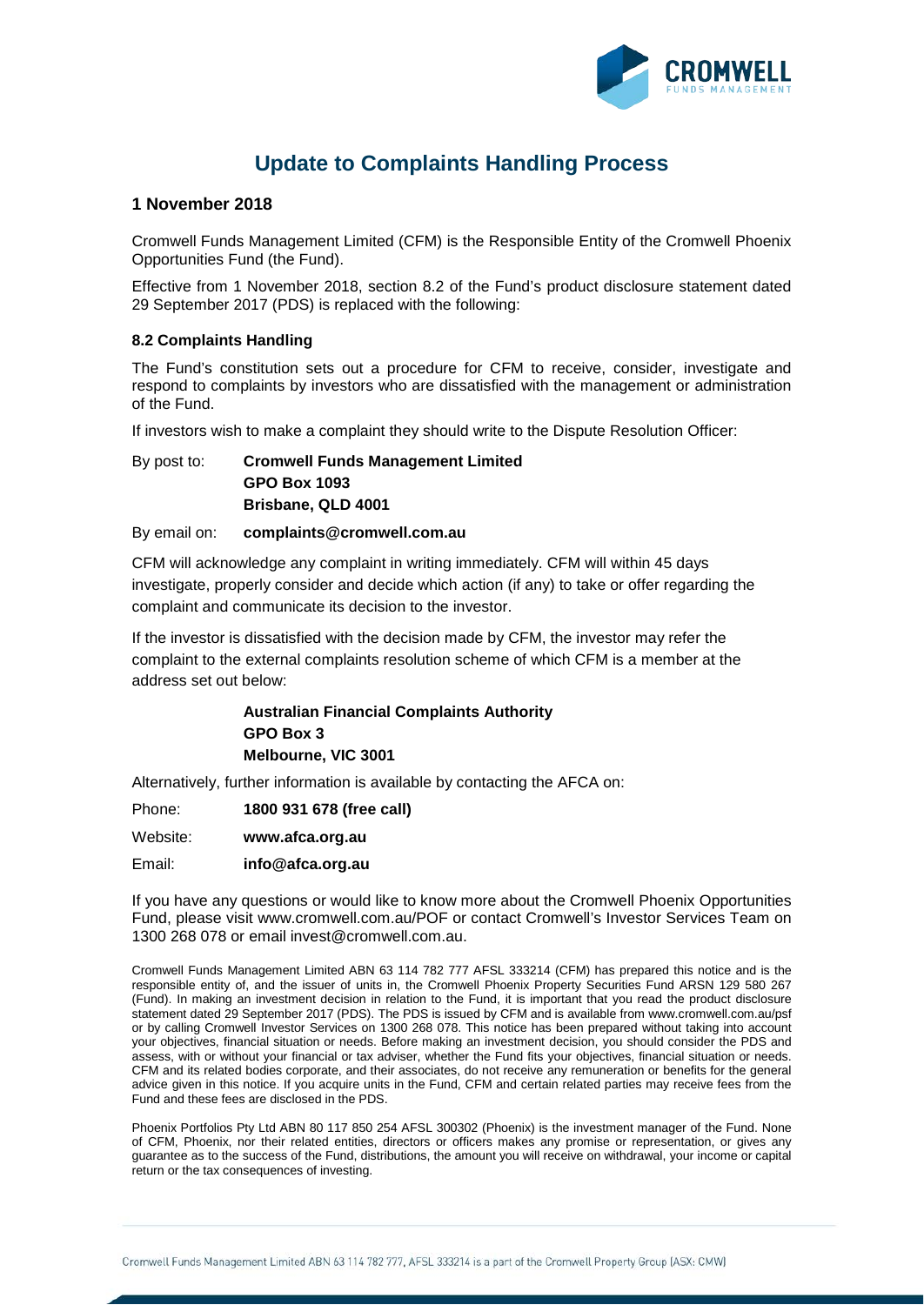

# **Update to Complaints Handling Process**

### **1 November 2018**

Cromwell Funds Management Limited (CFM) is the Responsible Entity of the Cromwell Phoenix Opportunities Fund (the Fund).

Effective from 1 November 2018, section 8.2 of the Fund's product disclosure statement dated 29 September 2017 (PDS) is replaced with the following:

#### **8.2 Complaints Handling**

The Fund's constitution sets out a procedure for CFM to receive, consider, investigate and respond to complaints by investors who are dissatisfied with the management or administration of the Fund.

If investors wish to make a complaint they should write to the Dispute Resolution Officer:

## By post to: **Cromwell Funds Management Limited GPO Box 1093 Brisbane, QLD 4001**

#### By email on: **complaints@cromwell.com.au**

CFM will acknowledge any complaint in writing immediately. CFM will within 45 days investigate, properly consider and decide which action (if any) to take or offer regarding the complaint and communicate its decision to the investor.

If the investor is dissatisfied with the decision made by CFM, the investor may refer the complaint to the external complaints resolution scheme of which CFM is a member at the address set out below:

> **Australian Financial Complaints Authority GPO Box 3 Melbourne, VIC 3001**

Alternatively, further information is available by contacting the AFCA on:

Phone: **1800 931 678 (free call)**

Website: **www.afca.org.au**

Email: **info@afca.org.au**

If you have any questions or would like to know more about the Cromwell Phoenix Opportunities Fund, please visit www.cromwell.com.au/POF or contact Cromwell's Investor Services Team on 1300 268 078 or email [invest@cromwell.com.au.](mailto:invest@cromwell.com.au)

Cromwell Funds Management Limited ABN 63 114 782 777 AFSL 333214 (CFM) has prepared this notice and is the responsible entity of, and the issuer of units in, the Cromwell Phoenix Property Securities Fund ARSN 129 580 267 (Fund). In making an investment decision in relation to the Fund, it is important that you read the product disclosure statement dated 29 September 2017 (PDS). The PDS is issued by CFM and is available from www.cromwell.com.au/psf or by calling Cromwell Investor Services on 1300 268 078. This notice has been prepared without taking into account your objectives, financial situation or needs. Before making an investment decision, you should consider the PDS and assess, with or without your financial or tax adviser, whether the Fund fits your objectives, financial situation or needs. CFM and its related bodies corporate, and their associates, do not receive any remuneration or benefits for the general advice given in this notice. If you acquire units in the Fund, CFM and certain related parties may receive fees from the Fund and these fees are disclosed in the PDS.

Phoenix Portfolios Pty Ltd ABN 80 117 850 254 AFSL 300302 (Phoenix) is the investment manager of the Fund. None of CFM, Phoenix, nor their related entities, directors or officers makes any promise or representation, or gives any guarantee as to the success of the Fund, distributions, the amount you will receive on withdrawal, your income or capital return or the tax consequences of investing.